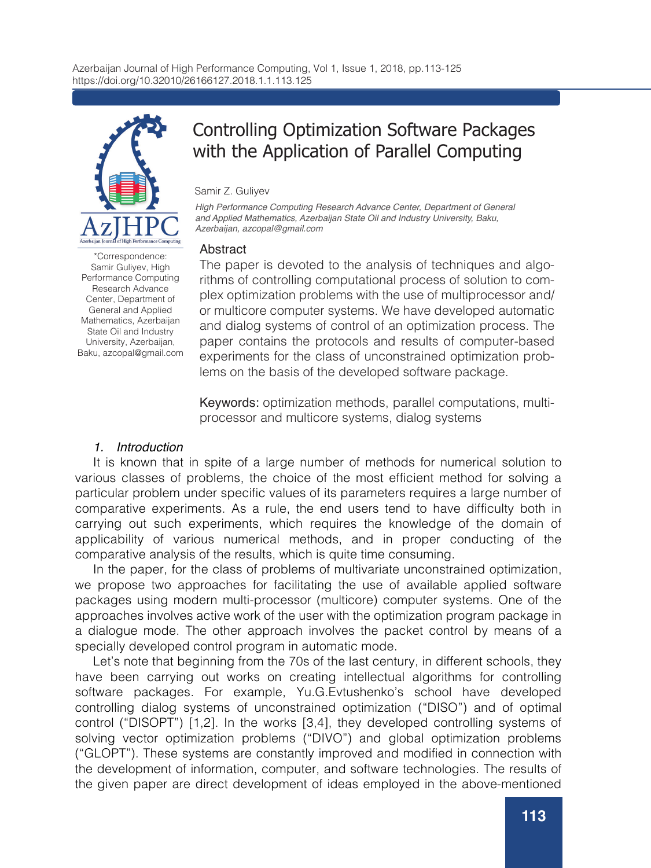

# Controlling Optimization Software Packages with the Application of Parallel Computing

Samir Z. Guliyev

*High Performance Computing Research Advance Center, Department of General and Applied Mathematics, Azerbaijan State Oil and Industry University, Baku, Azerbaijan, azcopal@gmail.com*

## **Abstract**

The paper is devoted to the analysis of techniques and algorithms of controlling computational process of solution to complex optimization problems with the use of multiprocessor and/ or multicore computer systems. We have developed automatic and dialog systems of control of an optimization process. The paper contains the protocols and results of computer-based experiments for the class of unconstrained optimization problems on the basis of the developed software package.

Keywords: optimization methods, parallel computations, multiprocessor and multicore systems, dialog systems

# *1. Introduction*

It is known that in spite of a large number of methods for numerical solution to various classes of problems, the choice of the most efficient method for solving a particular problem under specific values of its parameters requires a large number of comparative experiments. As a rule, the end users tend to have difficulty both in carrying out such experiments, which requires the knowledge of the domain of applicability of various numerical methods, and in proper conducting of the comparative analysis of the results, which is quite time consuming.

In the paper, for the class of problems of multivariate unconstrained optimization, we propose two approaches for facilitating the use of available applied software packages using modern multi-processor (multicore) computer systems. One of the approaches involves active work of the user with the optimization program package in a dialogue mode. The other approach involves the packet control by means of a specially developed control program in automatic mode.

Let's note that beginning from the 70s of the last century, in different schools, they have been carrying out works on creating intellectual algorithms for controlling software packages. For example, Yu.G.Evtushenko's school have developed controlling dialog systems of unconstrained optimization ("DISO") and of optimal control ("DISOPT") [1,2]. In the works [3,4], they developed controlling systems of solving vector optimization problems ("DIVO") and global optimization problems ("GLOPT"). These systems are constantly improved and modified in connection with the development of information, computer, and software technologies. The results of the given paper are direct development of ideas employed in the above-mentioned

\*Correspondence: Samir Guliyev, High Performance Computing Research Advance Center, Department of General and Applied Mathematics, Azerbaijan State Oil and Industry University, Azerbaijan, Baku, azcopal@gmail.com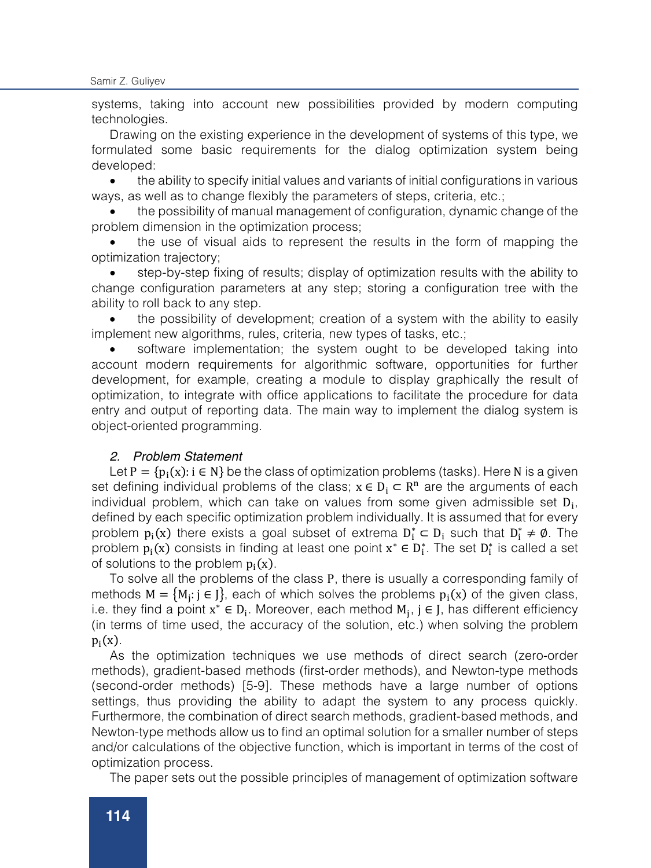systems, taking into account new possibilities provided by modern computing technologies.

Drawing on the existing experience in the development of systems of this type, we formulated some basic requirements for the dialog optimization system being developed:

• the ability to specify initial values and variants of initial configurations in various ways, as well as to change flexibly the parameters of steps, criteria, etc.;

• the possibility of manual management of configuration, dynamic change of the problem dimension in the optimization process;

• the use of visual aids to represent the results in the form of mapping the optimization trajectory;

• step-by-step fixing of results; display of optimization results with the ability to change configuration parameters at any step; storing a configuration tree with the ability to roll back to any step.

• the possibility of development; creation of a system with the ability to easily implement new algorithms, rules, criteria, new types of tasks, etc.;

• software implementation; the system ought to be developed taking into account modern requirements for algorithmic software, opportunities for further development, for example, creating a module to display graphically the result of optimization, to integrate with office applications to facilitate the procedure for data entry and output of reporting data. The main way to implement the dialog system is object-oriented programming.

# *2. Problem Statement*

Let  $P = {p_i(x): i \in N}$  be the class of optimization problems (tasks). Here N is a given set defining individual problems of the class;  $x \in D_i \subset \mathbb{R}^n$  are the arguments of each individual problem, which can take on values from some given admissible set  $D_i$ , defined by each specific optimization problem individually. It is assumed that for every problem  $p_i(x)$  there exists a goal subset of extrema  $D_i^* \subset D_i$  such that  $D_i^* \neq \emptyset$ . The problem  $p_i(x)$  consists in finding at least one point  $x^* \in D_i^*$ . The set  $D_i^*$  is called a set of solutions to the problem  $p_i(x)$ .

To solve all the problems of the class P, there is usually a corresponding family of methods  $M = \{M_i : j \in J\}$ , each of which solves the problems  $p_i(x)$  of the given class, i.e. they find a point  $x^* \in D_i$ . Moreover, each method  $M_i$ , j ∈ J, has different efficiency (in terms of time used, the accuracy of the solution, etc.) when solving the problem  $p_i(x)$ .

As the optimization techniques we use methods of direct search (zero-order methods), gradient-based methods (first-order methods), and Newton-type methods (second-order methods) [5-9]. These methods have a large number of options settings, thus providing the ability to adapt the system to any process quickly. Furthermore, the combination of direct search methods, gradient-based methods, and Newton-type methods allow us to find an optimal solution for a smaller number of steps and/or calculations of the objective function, which is important in terms of the cost of optimization process.

The paper sets out the possible principles of management of optimization software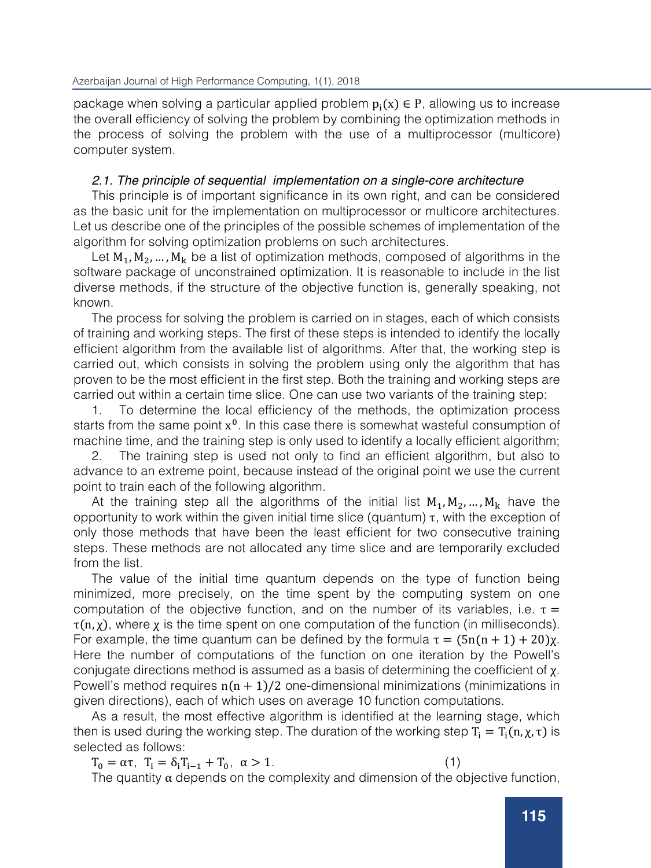package when solving a particular applied problem  $p_i(x) \in P$ , allowing us to increase the overall efficiency of solving the problem by combining the optimization methods in the process of solving the problem with the use of a multiprocessor (multicore) computer system.

# *2.1. The principle of sequential implementation on a single-core architecture*

This principle is of important significance in its own right, and can be considered as the basic unit for the implementation on multiprocessor or multicore architectures. Let us describe one of the principles of the possible schemes of implementation of the algorithm for solving optimization problems on such architectures.

Let  $M_1, M_2, ..., M_k$  be a list of optimization methods, composed of algorithms in the software package of unconstrained optimization. It is reasonable to include in the list diverse methods, if the structure of the objective function is, generally speaking, not known.

The process for solving the problem is carried on in stages, each of which consists of training and working steps. The first of these steps is intended to identify the locally efficient algorithm from the available list of algorithms. After that, the working step is carried out, which consists in solving the problem using only the algorithm that has proven to be the most efficient in the first step. Both the training and working steps are carried out within a certain time slice. One can use two variants of the training step:

1. To determine the local efficiency of the methods, the optimization process starts from the same point  $x^0$ . In this case there is somewhat wasteful consumption of machine time, and the training step is only used to identify a locally efficient algorithm;

2. The training step is used not only to find an efficient algorithm, but also to advance to an extreme point, because instead of the original point we use the current point to train each of the following algorithm.

At the training step all the algorithms of the initial list  $M_1, M_2, ..., M_k$  have the opportunity to work within the given initial time slice (quantum) τ, with the exception of only those methods that have been the least efficient for two consecutive training steps. These methods are not allocated any time slice and are temporarily excluded from the list.

The value of the initial time quantum depends on the type of function being minimized, more precisely, on the time spent by the computing system on one computation of the objective function, and on the number of its variables, i.e.  $\tau =$  $\tau(n, \chi)$ , where  $\chi$  is the time spent on one computation of the function (in milliseconds). For example, the time quantum can be defined by the formula  $\tau = (5n(n + 1) + 20)x$ . Here the number of computations of the function on one iteration by the Powell's conjugate directions method is assumed as a basis of determining the coefficient of  $\chi$ . Powell's method requires  $n(n + 1)/2$  one-dimensional minimizations (minimizations in given directions), each of which uses on average 10 function computations.

As a result, the most effective algorithm is identified at the learning stage, which then is used during the working step. The duration of the working step  $T_i = T_i(n, \chi, \tau)$  is selected as follows:

 $T_0 = \alpha \tau$ ,  $T_i = \delta_i T_{i-1} + T_0$ ,  $\alpha > 1$ . (1)

The quantity  $\alpha$  depends on the complexity and dimension of the objective function,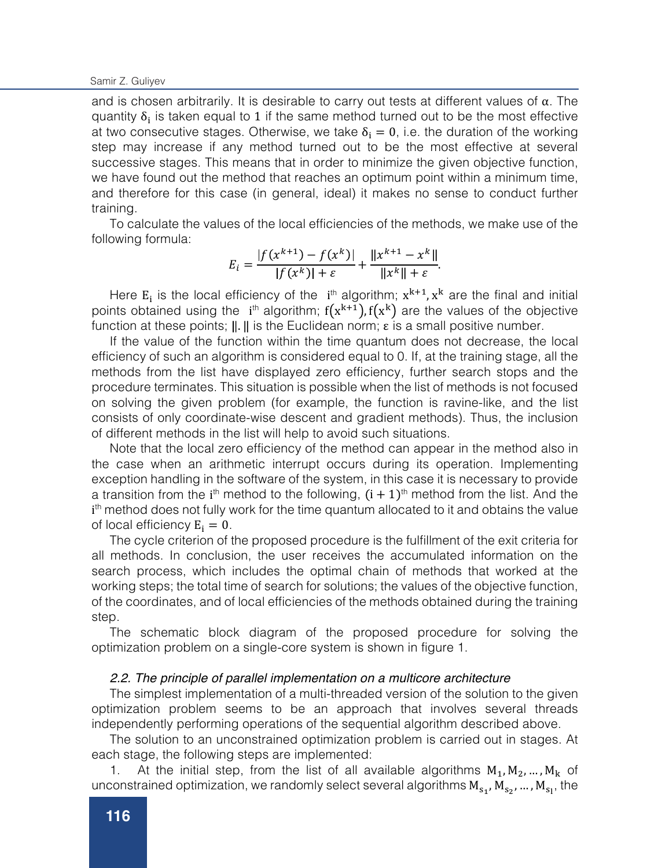and is chosen arbitrarily. It is desirable to carry out tests at different values of  $\alpha$ . The quantity  $\delta_i$  is taken equal to 1 if the same method turned out to be the most effective at two consecutive stages. Otherwise, we take  $\delta_i = 0$ , i.e. the duration of the working step may increase if any method turned out to be the most effective at several successive stages. This means that in order to minimize the given objective function, we have found out the method that reaches an optimum point within a minimum time, and therefore for this case (in general, ideal) it makes no sense to conduct further training.

To calculate the values of the local efficiencies of the methods, we make use of the following formula:

$$
E_i = \frac{|f(x^{k+1}) - f(x^k)|}{|f(x^k)| + \varepsilon} + \frac{||x^{k+1} - x^k||}{||x^k|| + \varepsilon}
$$

Here  $E_i$  is the local efficiency of the  $i^{th}$  algorithm;  $x^{k+1}$ ,  $x^k$  are the final and initial points obtained using the  $i<sup>th</sup>$  algorithm;  $f(x<sup>k+1</sup>)$ ,  $f(x<sup>k</sup>)$  are the values of the objective function at these points;  $\|\cdot\|$  is the Euclidean norm;  $\varepsilon$  is a small positive number.

If the value of the function within the time quantum does not decrease, the local efficiency of such an algorithm is considered equal to 0. If, at the training stage, all the methods from the list have displayed zero efficiency, further search stops and the procedure terminates. This situation is possible when the list of methods is not focused on solving the given problem (for example, the function is ravine-like, and the list consists of only coordinate-wise descent and gradient methods). Thus, the inclusion of different methods in the list will help to avoid such situations.

Note that the local zero efficiency of the method can appear in the method also in the case when an arithmetic interrupt occurs during its operation. Implementing exception handling in the software of the system, in this case it is necessary to provide a transition from the i<sup>th</sup> method to the following,  $(i + 1)$ <sup>th</sup> method from the list. And the i<sup>th</sup> method does not fully work for the time quantum allocated to it and obtains the value of local efficiency  $E_i = 0$ .

The cycle criterion of the proposed procedure is the fulfillment of the exit criteria for all methods. In conclusion, the user receives the accumulated information on the search process, which includes the optimal chain of methods that worked at the working steps; the total time of search for solutions; the values of the objective function, of the coordinates, and of local efficiencies of the methods obtained during the training step.

The schematic block diagram of the proposed procedure for solving the optimization problem on a single-core system is shown in figure 1.

## *2.2. The principle of parallel implementation on a multicore architecture*

The simplest implementation of a multi-threaded version of the solution to the given optimization problem seems to be an approach that involves several threads independently performing operations of the sequential algorithm described above.

The solution to an unconstrained optimization problem is carried out in stages. At each stage, the following steps are implemented:

1. At the initial step, from the list of all available algorithms  $M_1, M_2, ..., M_k$  of unconstrained optimization, we randomly select several algorithms  $\mathbf{M_{s_1}, M_{s_2}, ..., M_{s_1}}$ , the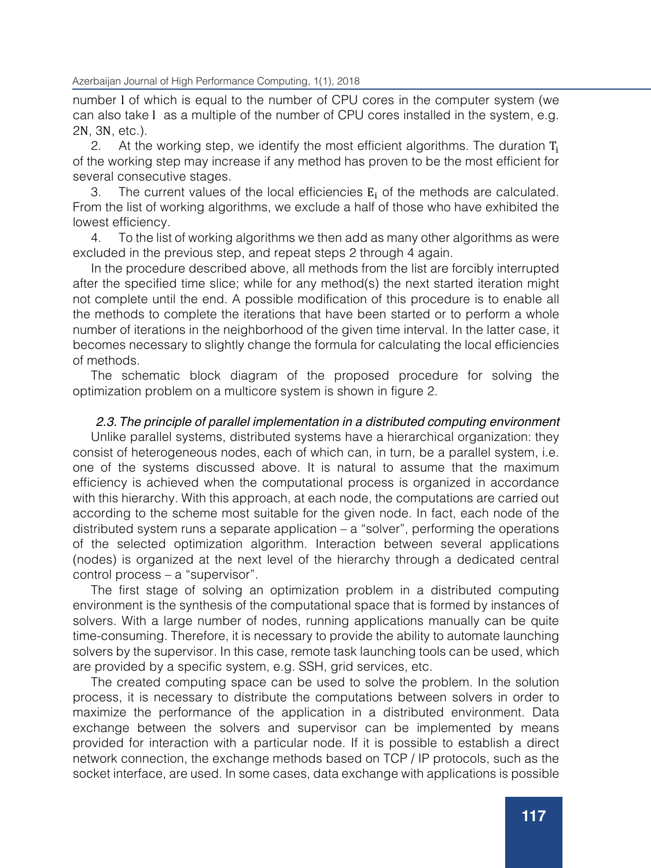number l of which is equal to the number of CPU cores in the computer system (we can also take l as a multiple of the number of CPU cores installed in the system, e.g. 2N, 3N, etc.).<br>2. At the

At the working step, we identify the most efficient algorithms. The duration  $T<sub>i</sub>$ of the working step may increase if any method has proven to be the most efficient for several consecutive stages.

3. The current values of the local efficiencies  $E_i$  of the methods are calculated. From the list of working algorithms, we exclude a half of those who have exhibited the lowest efficiency.

4. To the list of working algorithms we then add as many other algorithms as were excluded in the previous step, and repeat steps 2 through 4 again.

In the procedure described above, all methods from the list are forcibly interrupted after the specified time slice; while for any method(s) the next started iteration might not complete until the end. A possible modification of this procedure is to enable all the methods to complete the iterations that have been started or to perform a whole number of iterations in the neighborhood of the given time interval. In the latter case, it becomes necessary to slightly change the formula for calculating the local efficiencies of methods.

The schematic block diagram of the proposed procedure for solving the optimization problem on a multicore system is shown in figure 2.

# *2.3.The principle of parallel implementation in a distributed computing environment*

Unlike parallel systems, distributed systems have a hierarchical organization: they consist of heterogeneous nodes, each of which can, in turn, be a parallel system, i.e. one of the systems discussed above. It is natural to assume that the maximum efficiency is achieved when the computational process is organized in accordance with this hierarchy. With this approach, at each node, the computations are carried out according to the scheme most suitable for the given node. In fact, each node of the distributed system runs a separate application  $-$  a "solver", performing the operations of the selected optimization algorithm. Interaction between several applications (nodes) is organized at the next level of the hierarchy through a dedicated central control process – a "supervisor".

The first stage of solving an optimization problem in a distributed computing environment is the synthesis of the computational space that is formed by instances of solvers. With a large number of nodes, running applications manually can be quite time-consuming. Therefore, it is necessary to provide the ability to automate launching solvers by the supervisor. In this case, remote task launching tools can be used, which are provided by a specific system, e.g. SSH, grid services, etc.

The created computing space can be used to solve the problem. In the solution process, it is necessary to distribute the computations between solvers in order to maximize the performance of the application in a distributed environment. Data exchange between the solvers and supervisor can be implemented by means provided for interaction with a particular node. If it is possible to establish a direct network connection, the exchange methods based on TCP / IP protocols, such as the socket interface, are used. In some cases, data exchange with applications is possible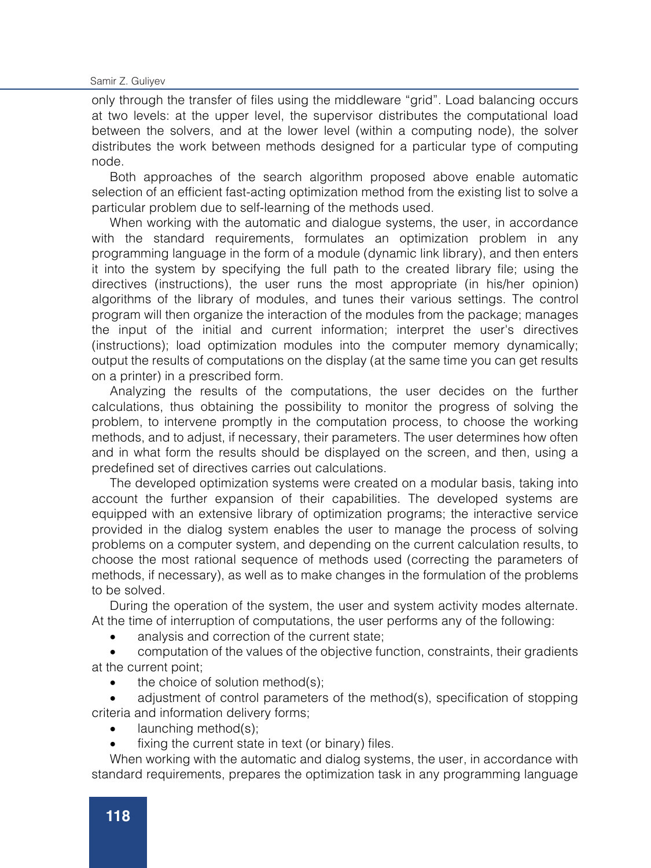Samir Z. Guliyev

only through the transfer of files using the middleware "grid". Load balancing occurs at two levels: at the upper level, the supervisor distributes the computational load between the solvers, and at the lower level (within a computing node), the solver distributes the work between methods designed for a particular type of computing node.

Both approaches of the search algorithm proposed above enable automatic selection of an efficient fast-acting optimization method from the existing list to solve a particular problem due to self-learning of the methods used.

When working with the automatic and dialogue systems, the user, in accordance with the standard requirements, formulates an optimization problem in any programming language in the form of a module (dynamic link library), and then enters it into the system by specifying the full path to the created library file; using the directives (instructions), the user runs the most appropriate (in his/her opinion) algorithms of the library of modules, and tunes their various settings. The control program will then organize the interaction of the modules from the package; manages the input of the initial and current information; interpret the user's directives (instructions); load optimization modules into the computer memory dynamically; output the results of computations on the display (at the same time you can get results on a printer) in a prescribed form.

Analyzing the results of the computations, the user decides on the further calculations, thus obtaining the possibility to monitor the progress of solving the problem, to intervene promptly in the computation process, to choose the working methods, and to adjust, if necessary, their parameters. The user determines how often and in what form the results should be displayed on the screen, and then, using a predefined set of directives carries out calculations.

The developed optimization systems were created on a modular basis, taking into account the further expansion of their capabilities. The developed systems are equipped with an extensive library of optimization programs; the interactive service provided in the dialog system enables the user to manage the process of solving problems on a computer system, and depending on the current calculation results, to choose the most rational sequence of methods used (correcting the parameters of methods, if necessary), as well as to make changes in the formulation of the problems to be solved.

During the operation of the system, the user and system activity modes alternate. At the time of interruption of computations, the user performs any of the following:

• analysis and correction of the current state;

• computation of the values of the objective function, constraints, their gradients at the current point;

the choice of solution method(s):

• adjustment of control parameters of the method(s), specification of stopping criteria and information delivery forms;

- launching method(s);
- fixing the current state in text (or binary) files.

When working with the automatic and dialog systems, the user, in accordance with standard requirements, prepares the optimization task in any programming language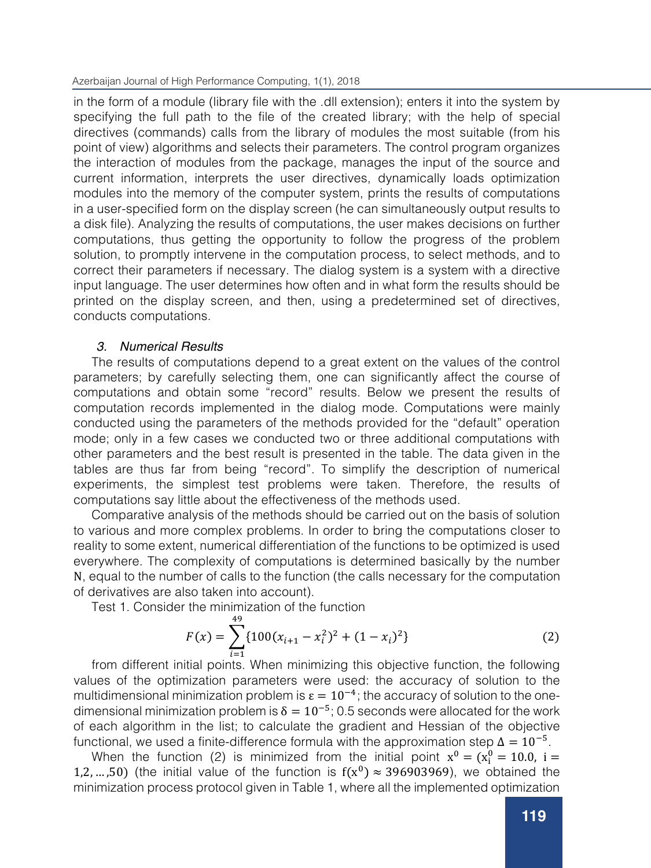in the form of a module (library file with the .dll extension); enters it into the system by specifying the full path to the file of the created library; with the help of special directives (commands) calls from the library of modules the most suitable (from his point of view) algorithms and selects their parameters. The control program organizes the interaction of modules from the package, manages the input of the source and current information, interprets the user directives, dynamically loads optimization modules into the memory of the computer system, prints the results of computations in a user-specified form on the display screen (he can simultaneously output results to a disk file). Analyzing the results of computations, the user makes decisions on further computations, thus getting the opportunity to follow the progress of the problem solution, to promptly intervene in the computation process, to select methods, and to correct their parameters if necessary. The dialog system is a system with a directive input language. The user determines how often and in what form the results should be printed on the display screen, and then, using a predetermined set of directives, conducts computations.

# *3. Numerical Results*

The results of computations depend to a great extent on the values of the control parameters; by carefully selecting them, one can significantly affect the course of computations and obtain some "record" results. Below we present the results of computation records implemented in the dialog mode. Computations were mainly conducted using the parameters of the methods provided for the "default" operation mode; only in a few cases we conducted two or three additional computations with other parameters and the best result is presented in the table. The data given in the tables are thus far from being "record". To simplify the description of numerical experiments, the simplest test problems were taken. Therefore, the results of computations say little about the effectiveness of the methods used.

Comparative analysis of the methods should be carried out on the basis of solution to various and more complex problems. In order to bring the computations closer to reality to some extent, numerical differentiation of the functions to be optimized is used everywhere. The complexity of computations is determined basically by the number N, equal to the number of calls to the function (the calls necessary for the computation of derivatives are also taken into account).

Test 1. Consider the minimization of the function

$$
F(x) = \sum_{i=1}^{49} \{100(x_{i+1} - x_i^2)^2 + (1 - x_i)^2\}
$$
 (2)

from different initial points. When minimizing this objective function, the following values of the optimization parameters were used: the accuracy of solution to the multidimensional minimization problem is  $\varepsilon = 10^{-4}$ ; the accuracy of solution to the onedimensional minimization problem is  $\delta = 10^{-5}$ ; 0.5 seconds were allocated for the work of each algorithm in the list; to calculate the gradient and Hessian of the objective functional, we used a finite-difference formula with the approximation step  $\Delta = 10^{-5}$ .

When the function (2) is minimized from the initial point  $x^0 = (x_i^0 = 10.0, i =$ 1,2, …,50) (the initial value of the function is  $f(x^0) \approx 396903969$ ), we obtained the minimization process protocol given in Table 1, where all the implemented optimization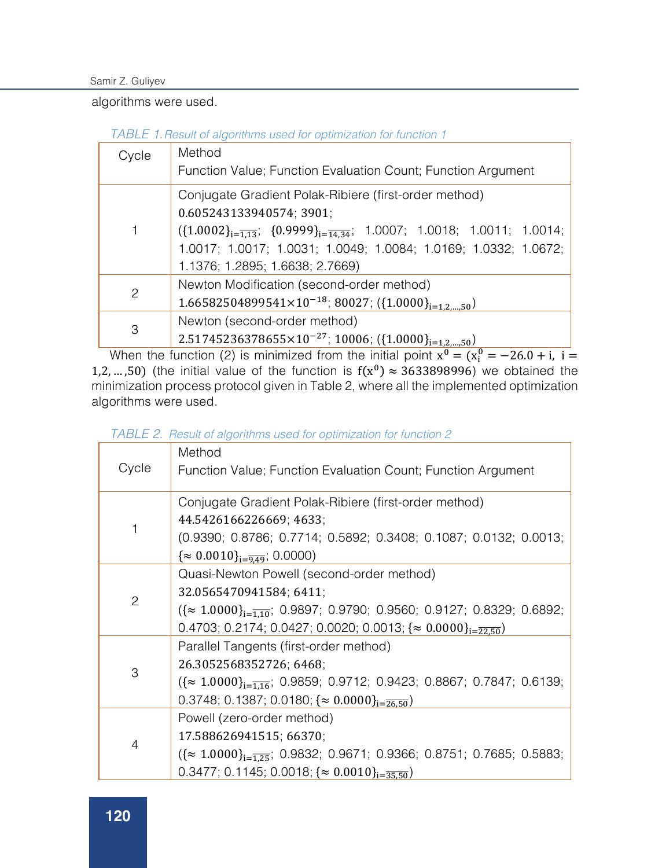Samir Z. Guliyev

algorithms were used.

| TABLE 1. Result of algorithms used for optimization for function 1 |  |
|--------------------------------------------------------------------|--|
|--------------------------------------------------------------------|--|

| Cycle         | Method<br>Function Value; Function Evaluation Count; Function Argument                                                                                                                                                                                                                     |
|---------------|--------------------------------------------------------------------------------------------------------------------------------------------------------------------------------------------------------------------------------------------------------------------------------------------|
|               | Conjugate Gradient Polak-Ribiere (first-order method)<br>0.605243133940574; 3901;<br>$({1.0002}_{i=\overline{1.13}}; {0.9999}_{i=\overline{14.34}}; 1.0007; 1.0018; 1.0011; 1.0014;$<br>1.0017; 1.0017; 1.0031; 1.0049; 1.0084; 1.0169; 1.0332; 1.0672;<br>1.1376; 1.2895; 1.6638; 2.7669) |
| $\mathcal{P}$ | Newton Modification (second-order method)<br>1.66582504899541×10 <sup>-18</sup> ; 80027; ({1.0000} <sub>i=12.50</sub> )                                                                                                                                                                    |
| 3             | Newton (second-order method)<br>2.51745236378655×10 <sup>-27</sup> ; 10006; ({1.0000} <sub>i=1.2,,,,50</sub> )                                                                                                                                                                             |

When the function (2) is minimized from the initial point  $x^0 = (x_i^0 = -26.0 + i, i =$ 1,2, …,50) (the initial value of the function is  $f(x^0) \approx 3633898996$ ) we obtained the minimization process protocol given in Table 2, where all the implemented optimization algorithms were used.

|  |  | TABLE 2. Result of algorithms used for optimization for function 2 |  |
|--|--|--------------------------------------------------------------------|--|
|--|--|--------------------------------------------------------------------|--|

|       | Method                                                                                   |
|-------|------------------------------------------------------------------------------------------|
| Cycle | Function Value; Function Evaluation Count; Function Argument                             |
|       | Conjugate Gradient Polak-Ribiere (first-order method)                                    |
|       | 44.5426166226669; 4633;                                                                  |
|       | (0.9390; 0.8786; 0.7714; 0.5892; 0.3408; 0.1087; 0.0132; 0.0013;                         |
|       | $\{\approx 0.0010\}_{i=\overline{9.49}}$ ; 0.0000)                                       |
|       | Quasi-Newton Powell (second-order method)                                                |
|       | 32.0565470941584; 6411;                                                                  |
| 2     | $({\approx 1.0000}_{i=\overline{1.10}}; 0.9897; 0.9790; 0.9560; 0.9127; 0.8329; 0.6892;$ |
|       | 0.4703; 0.2174; 0.0427; 0.0020; 0.0013; $\{\approx 0.0000\}_{i=\overline{22.50}}$        |
|       | Parallel Tangents (first-order method)                                                   |
| 3     | 26.3052568352726; 6468;                                                                  |
|       | $({\approx 1.0000}_{i=\overline{1.16}}; 0.9859; 0.9712; 0.9423; 0.8867; 0.7847; 0.6139;$ |
|       | 0.3748; 0.1387; 0.0180; $\{\approx 0.0000\}_{i=\overline{26.50}}$                        |
| 4     | Powell (zero-order method)                                                               |
|       | 17.588626941515; 66370;                                                                  |
|       | $({\approx 1.0000}_{i=\overline{1.25}}; 0.9832; 0.9671; 0.9366; 0.8751; 0.7685; 0.5883;$ |
|       | 0.3477; 0.1145; 0.0018; $\{\approx 0.0010\}_{i=35.50}$ )                                 |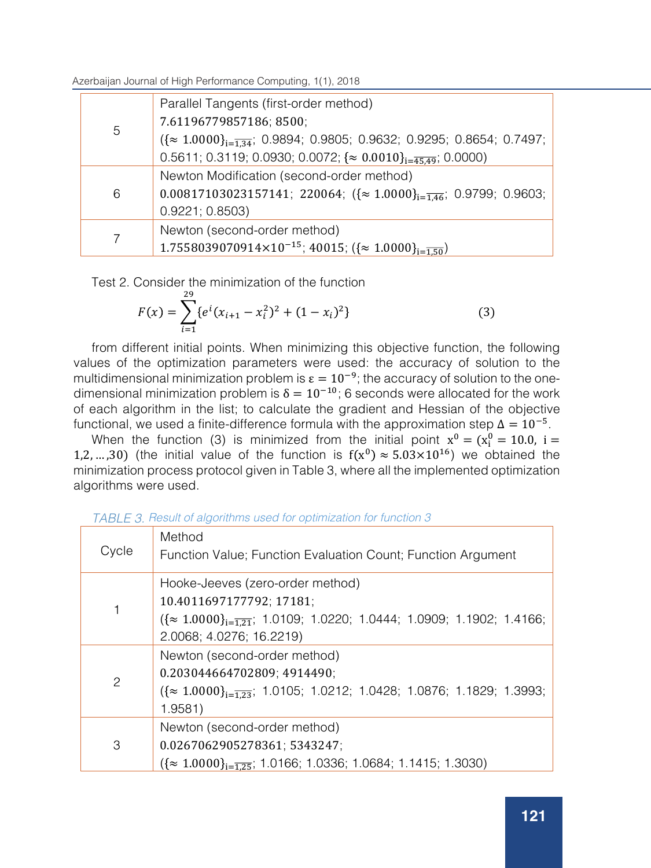| 5 | Parallel Tangents (first-order method)                                                     |
|---|--------------------------------------------------------------------------------------------|
|   | 7.61196779857186; 8500;                                                                    |
|   | $({\approx 1.0000}_{i=\overline{1.34}}; 0.9894; 0.9805; 0.9632; 0.9295; 0.8654; 0.7497; )$ |
|   | 0.5611; 0.3119; 0.0930; 0.0072; $\{\approx 0.0010\}_{i=\overline{45.49}}$ ; 0.0000)        |
| 6 | Newton Modification (second-order method)                                                  |
|   | $0.00817103023157141$ ; 220064; $({\approx 1.0000}_{i=\overline{1.46}}; 0.9799; 0.9603;$   |
|   | 0.9221; 0.8503)                                                                            |
|   | Newton (second-order method)                                                               |
|   | 1.7558039070914×10 <sup>-15</sup> ; 40015; $({\approx 1.0000}_{i=\overline{1.50}})$        |

Test 2. Consider the minimization of the function

$$
F(x) = \sum_{i=1}^{29} \{e^{i}(x_{i+1} - x_i^2)^2 + (1 - x_i)^2\}
$$
 (3)

from different initial points. When minimizing this objective function, the following values of the optimization parameters were used: the accuracy of solution to the multidimensional minimization problem is  $\varepsilon = 10^{-9}$ ; the accuracy of solution to the onedimensional minimization problem is  $\delta = 10^{-10}$ ; 6 seconds were allocated for the work of each algorithm in the list; to calculate the gradient and Hessian of the objective functional, we used a finite-difference formula with the approximation step  $\Delta = 10^{-5}$ .

When the function (3) is minimized from the initial point  $x^0 = (x_i^0 = 10.0, i =$ 1,2, …,30) (the initial value of the function is  $f(x^0) \approx 5.03 \times 10^{16}$ ) we obtained the minimization process protocol given in Table 3, where all the implemented optimization algorithms were used.

| Cycle | Method<br>Function Value; Function Evaluation Count; Function Argument                                                                                                               |
|-------|--------------------------------------------------------------------------------------------------------------------------------------------------------------------------------------|
|       | Hooke-Jeeves (zero-order method)<br>10.4011697177792; 17181;<br>$({\approx 1.0000}_{i=\overline{1.21}}; 1.0109; 1.0220; 1.0444; 1.0909; 1.1902; 1.4166;$<br>2.0068; 4.0276; 16.2219) |
| 2     | Newton (second-order method)<br>0.203044664702809; 4914490;<br>$({\approx 1.0000}_{i=\overline{1.23}}; 1.0105; 1.0212; 1.0428; 1.0876; 1.1829; 1.3993;$<br>1.9581)                   |
| 3     | Newton (second-order method)<br>0.0267062905278361; 5343247;<br>$({\approx 1.0000}_{i=\overline{1.25}}; 1.0166; 1.0336; 1.0684; 1.1415; 1.3030)$                                     |

|  | TABLE 3. Result of algorithms used for optimization for function 3 |
|--|--------------------------------------------------------------------|
|--|--------------------------------------------------------------------|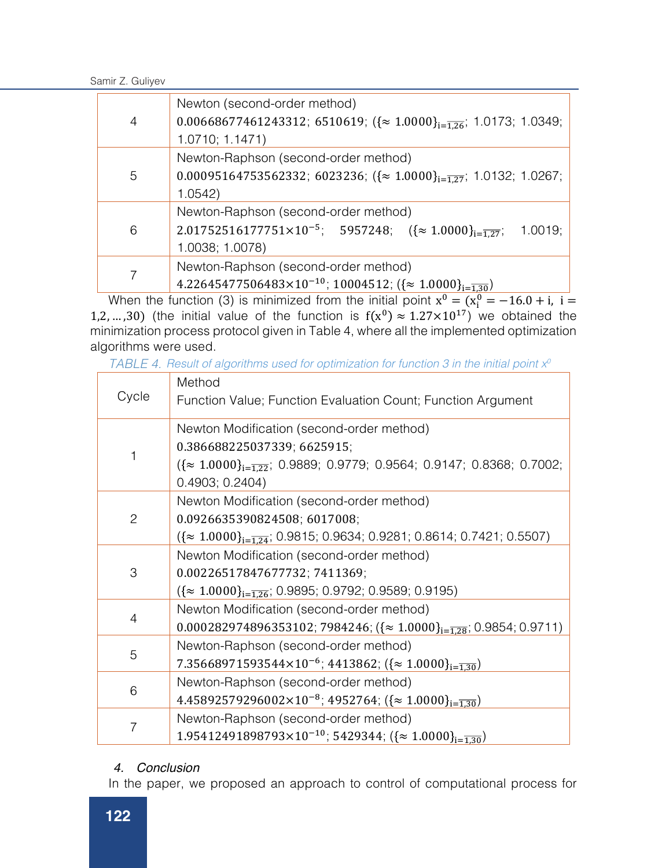Samir Z. Guliyev

| 4 | Newton (second-order method)<br>0.00668677461243312; 6510619; $({\approx 1.0000}_{i=\overline{1.26}}; 1.0173; 1.0349;$<br>1.0710; 1.1471)                   |
|---|-------------------------------------------------------------------------------------------------------------------------------------------------------------|
| 5 | Newton-Raphson (second-order method)<br>0.00095164753562332; 6023236; $({\approx 1.0000}_{i=\overline{1.27}}; 1.0132; 1.0267;$<br>1.0542                    |
| 6 | Newton-Raphson (second-order method)<br>2.01752516177751×10 <sup>-5</sup> ; 5957248; $({\approx 1.0000}_{i=\overline{1.27}};$<br>1.0019;<br>1.0038; 1.0078) |
|   | Newton-Raphson (second-order method)<br>4.22645477506483×10 <sup>-10</sup> ; 10004512; $({\approx 1.0000}_{i=\overline{130}})$                              |

When the function (3) is minimized from the initial point  $x^0 = (x_1^0 = -16.0 + i, i =$ 1,2, …,30) (the initial value of the function is  $f(x^0) \approx 1.27 \times 10^{17}$ ) we obtained the minimization process protocol given in Table 4, where all the implemented optimization algorithms were used.

*TABLE 4. Result of algorithms used for optimization for function 3 in the initial point x*<sup>0</sup>

| Cycle          | Method                                                                                              |
|----------------|-----------------------------------------------------------------------------------------------------|
|                | Function Value; Function Evaluation Count; Function Argument                                        |
| 1              | Newton Modification (second-order method)                                                           |
|                | 0.386688225037339; 6625915;                                                                         |
|                | $({\approx 1.0000}_{i=\overline{1.22}}; 0.9889; 0.9779; 0.9564; 0.9147; 0.8368; 0.7002;$            |
|                | 0.4903; 0.2404)                                                                                     |
|                | Newton Modification (second-order method)                                                           |
| $\overline{c}$ | 0.0926635390824508; 6017008;                                                                        |
|                | $({\approx 1.0000}_{i=\overline{1.24}}; 0.9815; 0.9634; 0.9281; 0.8614; 0.7421; 0.5507)$            |
|                | Newton Modification (second-order method)                                                           |
| 3              | 0.00226517847677732; 7411369;                                                                       |
|                | $({\approx 1.0000}_{i=\overline{1.26}}; 0.9895; 0.9792; 0.9589; 0.9195)$                            |
| $\overline{4}$ | Newton Modification (second-order method)                                                           |
|                | $0.000282974896353102$ ; 7984246; $({\approx 1.0000}_{i=\overline{1.28}}; 0.9854; 0.9711)$          |
| 5              | Newton-Raphson (second-order method)                                                                |
|                | 7.35668971593544×10 <sup>-6</sup> ; 4413862; ({ $\approx 1.0000$ } <sub>i=</sub> $\frac{1}{1.30}$ ) |
| 6              | Newton-Raphson (second-order method)                                                                |
|                | 4.45892579296002×10 <sup>-8</sup> ; 4952764; ({ $\approx 1.0000$ } <sub>i=1.30</sub> )              |
| 7              | Newton-Raphson (second-order method)                                                                |
|                | 1.95412491898793×10 <sup>-10</sup> ; 5429344; ({ $\approx$ 1.0000} <sub>i=1.30</sub> )              |

# *4. Conclusion*

In the paper, we proposed an approach to control of computational process for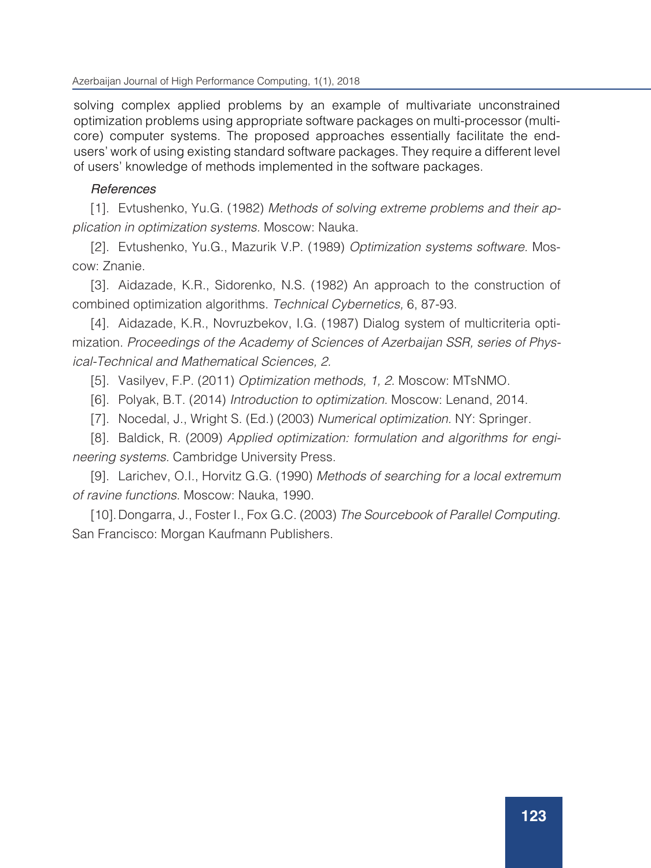solving complex applied problems by an example of multivariate unconstrained optimization problems using appropriate software packages on multi-processor (multicore) computer systems. The proposed approaches essentially facilitate the endusers' work of using existing standard software packages. They require a different level of users' knowledge of methods implemented in the software packages.

#### *References References*

[1] Evtushenko, Yu.G. (1982) Methods of solving extreme problems and their [1]. Evtushenko, Yu.G. (1982) *Methods of solving extreme problems and their ap*application in optimization systems. Moscow: Nauka. *plication in optimization systems.* Moscow: Nauka.

[2] Evtushenko, Yu.G., Mazurik V.P. (1989) Optimization systems software. [2]. Evtushenko, Yu.G., Mazurik V.P. (1989) *Optimization systems software.* Moscow: Znanie. [3] Aidazade, K.R., Sidorenko, N.S. (1982) An approach to the construction of

[3]. Aidazade, K.R., Sidorenko, N.S. (1982) An approach to the construction of combined optimization algorithms. *Technical Cybernetics,* 6, 87-93.

[4]. Aidazade, K.R., Novruzbekov, I.G. (1987) Dialog system of multicriteria optimization *Procoodings* of the Academy of Sciences [5] Vasilyev, F.P. (2011) Optimization methods, 1, 2. Moscow: MTsNMO. mization. *Proceedings of the Academy of Sciences of Azerbaijan SSR, series of Physical-Technical and Mathematical Sciences, 2.* 

[5]. Vasilyev, F.P. (2011) *Optimization methods, 1, 2.* Moscow: MTsNMO.

- [6]. Polyak, B.T. (2014) *Introduction to optimization.* Moscow: Lenand, 2014.
- [7]. Nocedal, J., Wright S. (Ed.) (2003) Numerical optimization. NY: Springer.  $\begin{bmatrix} 9 \end{bmatrix}$  . However, O.I., Horvitz G.G. (1990) Methods of searching for a local extremum for a local extremum for a local extremum for a local extremum for a local extremum for a local extremum for a local extremum

[8]. Baldick, R. (2009) *Applied optimization: formulation and algorithms for engineering systems.* Cambridge University Press.

[9]. Larichev, O.I., Horvitz G.G. (1990) Methods of searching for a local extremum *of ravine functions.* Moscow: Nauka, 1990.

[10].Dongarra, J., Foster I., Fox G.C. (2003) *The Sourcebook of Parallel Computing.*  San Francisco: Morgan Kaufmann Publishers.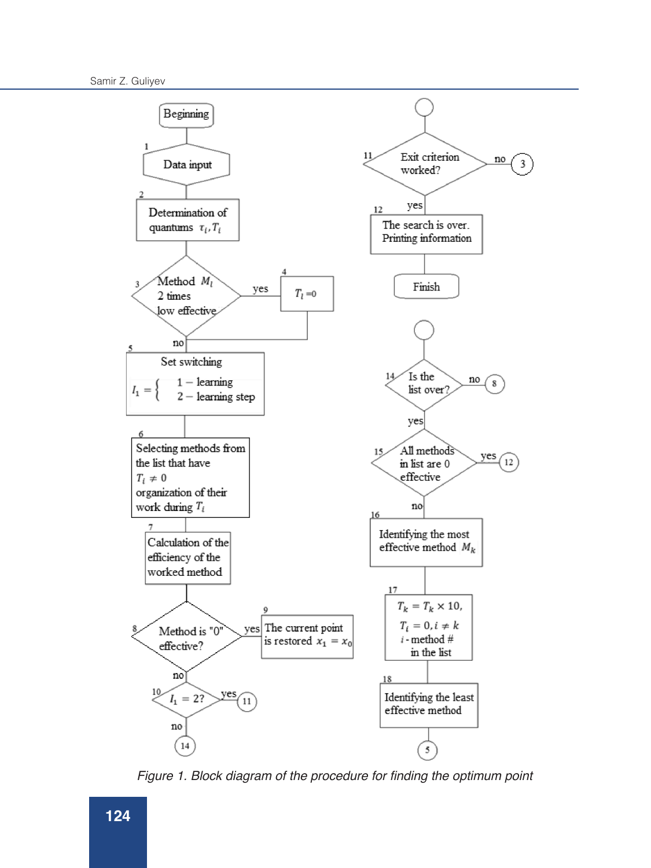

Figure 1. Block diagram of the procedure for finding the optimum point